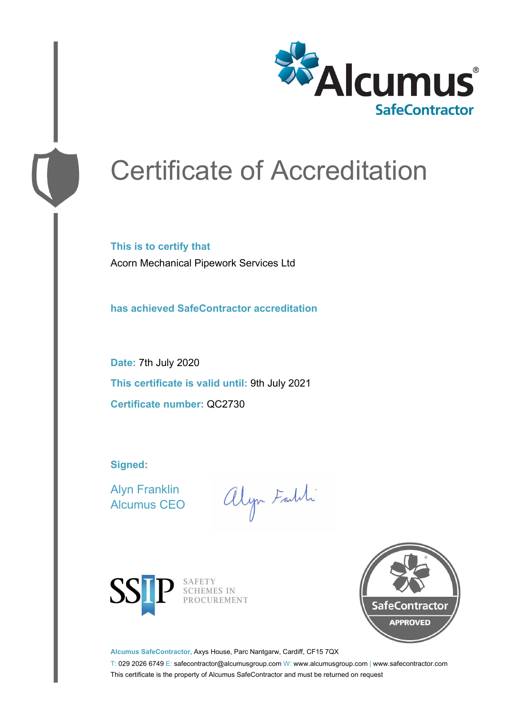

# Certificate of Accreditation

**This is to certify that** Acorn Mechanical Pipework Services Ltd

**has achieved SafeContractor accreditation**

**Date:** 7th July 2020 **This certificate is valid until:** 9th July 2021 **Certificate number:** QC2730

**Signed:**

Alyn Franklin Alcumus CEO

alyn Faith



SAFETY<br>SCHEMES IN PROCUREMENT



**Alcumus SafeContractor,** Axys House, Parc Nantgarw, Cardiff, CF15 7QX

T: 029 2026 6749 E: safecontractor@alcumusgroup.com W: www.alcumusgroup.com | www.safecontractor.com This certificate is the property of Alcumus SafeContractor and must be returned on request